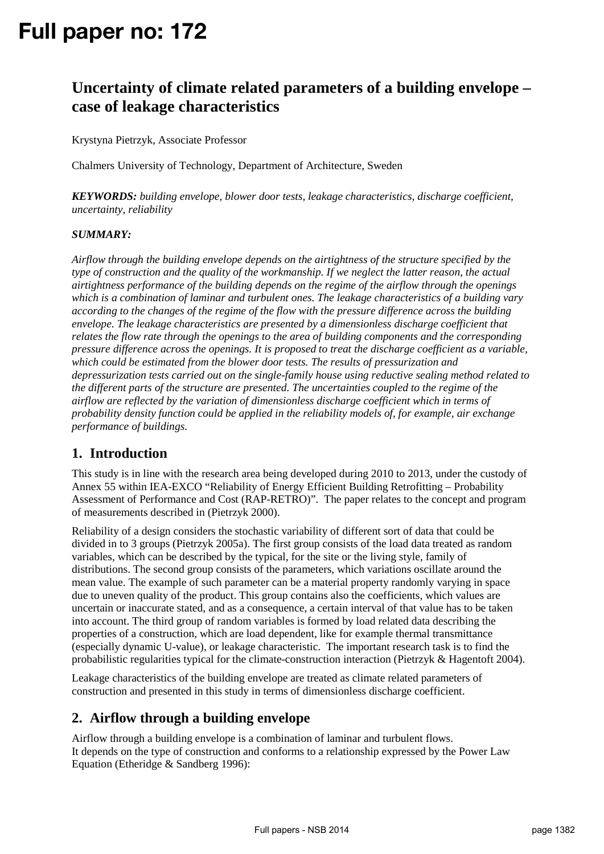# **Full paper no: 172**

# **Uncertainty of climate related parameters of a building envelope – case of leakage characteristics**

Krystyna Pietrzyk, Associate Professor

Chalmers University of Technology, Department of Architecture, Sweden

*KEYWORDS: building envelope, blower door tests, leakage characteristics, discharge coefficient, uncertainty, reliability* 

#### *SUMMARY:*

*Airflow through the building envelope depends on the airtightness of the structure specified by the type of construction and the quality of the workmanship. If we neglect the latter reason, the actual airtightness performance of the building depends on the regime of the airflow through the openings which is a combination of laminar and turbulent ones. The leakage characteristics of a building vary according to the changes of the regime of the flow with the pressure difference across the building envelope. The leakage characteristics are presented by a dimensionless discharge coefficient that relates the flow rate through the openings to the area of building components and the corresponding pressure difference across the openings. It is proposed to treat the discharge coefficient as a variable, which could be estimated from the blower door tests. The results of pressurization and depressurization tests carried out on the single-family house using reductive sealing method related to the different parts of the structure are presented. The uncertainties coupled to the regime of the airflow are reflected by the variation of dimensionless discharge coefficient which in terms of probability density function could be applied in the reliability models of, for example, air exchange performance of buildings.* 

### **1. Introduction**

This study is in line with the research area being developed during 2010 to 2013, under the custody of Annex 55 within IEA-EXCO "Reliability of Energy Efficient Building Retrofitting – Probability Assessment of Performance and Cost (RAP-RETRO)". The paper relates to the concept and program of measurements described in (Pietrzyk 2000).

Reliability of a design considers the stochastic variability of different sort of data that could be divided in to 3 groups (Pietrzyk 2005a). The first group consists of the load data treated as random variables, which can be described by the typical, for the site or the living style, family of distributions. The second group consists of the parameters, which variations oscillate around the mean value. The example of such parameter can be a material property randomly varying in space due to uneven quality of the product. This group contains also the coefficients, which values are uncertain or inaccurate stated, and as a consequence, a certain interval of that value has to be taken into account. The third group of random variables is formed by load related data describing the properties of a construction, which are load dependent, like for example thermal transmittance (especially dynamic U-value), or leakage characteristic. The important research task is to find the probabilistic regularities typical for the climate-construction interaction (Pietrzyk & Hagentoft 2004).

Leakage characteristics of the building envelope are treated as climate related parameters of construction and presented in this study in terms of dimensionless discharge coefficient.

### **2. Airflow through a building envelope**

Airflow through a building envelope is a combination of laminar and turbulent flows. It depends on the type of construction and conforms to a relationship expressed by the Power Law Equation (Etheridge & Sandberg 1996):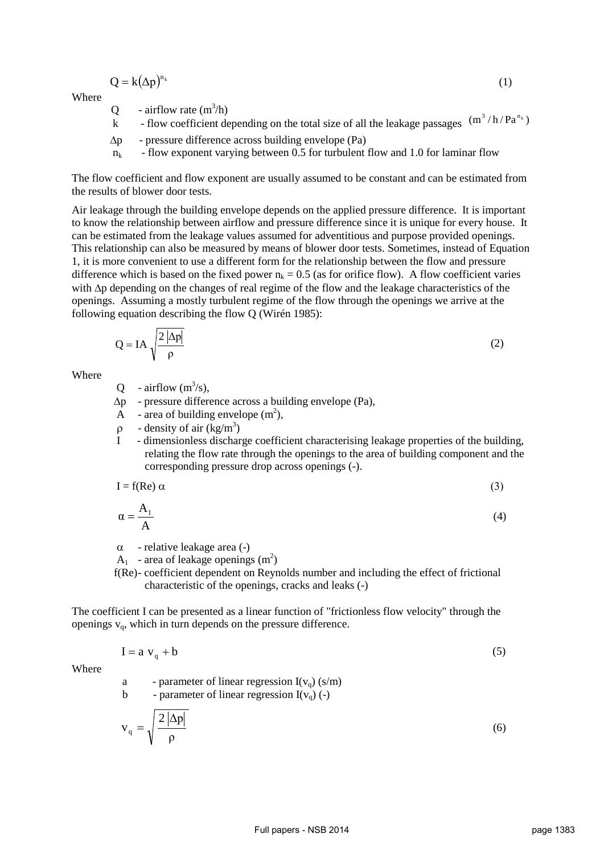$$
Q = k(\Delta p)^{n_k} \tag{1}
$$

Where

Q - airflow rate  $(m^3/h)$ 

Q - airflow rate  $(m^3/h)$ <br>k - flow coefficient depending on the total size of all the leakage passages  $(m^3/h/Pa^{n_k})$ 

∆p - pressure difference across building envelope (Pa)

 $n_k$  - flow exponent varying between 0.5 for turbulent flow and 1.0 for laminar flow

The flow coefficient and flow exponent are usually assumed to be constant and can be estimated from the results of blower door tests.

Air leakage through the building envelope depends on the applied pressure difference. It is important to know the relationship between airflow and pressure difference since it is unique for every house. It can be estimated from the leakage values assumed for adventitious and purpose provided openings. This relationship can also be measured by means of blower door tests. Sometimes, instead of Equation 1, it is more convenient to use a different form for the relationship between the flow and pressure difference which is based on the fixed power  $n_k = 0.5$  (as for orifice flow). A flow coefficient varies with ∆p depending on the changes of real regime of the flow and the leakage characteristics of the openings. Assuming a mostly turbulent regime of the flow through the openings we arrive at the following equation describing the flow Q (Wirén 1985):

$$
Q = IA \sqrt{\frac{2 |\Delta p|}{\rho}}
$$
 (2)

**Where** 

Q - airflow  $(m^3/s)$ ,

∆p - pressure difference across a building envelope (Pa),

 $\overline{A}$  - area of building envelope (m<sup>2</sup>),

- $ρ$  density of air (kg/m<sup>3</sup>)
	- I dimensionless discharge coefficient characterising leakage properties of the building, relating the flow rate through the openings to the area of building component and the corresponding pressure drop across openings (-).

$$
I = f(Re) \alpha \tag{3}
$$

$$
\alpha = \frac{A_1}{A}
$$
 (4)

 $\alpha$  - relative leakage area (-)

 $A_1$  - area of leakage openings  $(m^2)$ 

 f(Re) - coefficient dependent on Reynolds number and including the effect of frictional characteristic of the openings, cracks and leaks (-)

The coefficient I can be presented as a linear function of "frictionless flow velocity" through the openings  $v_{q}$ , which in turn depends on the pressure difference.

$$
I = a v_q + b \tag{5}
$$

Where

a - parameter of linear regression  $I(v_q)$  (s/m) b - parameter of linear regression  $I(v<sub>o</sub>)$  (-)

$$
v_q = \sqrt{\frac{2|\Delta p|}{\rho}}
$$
 (6)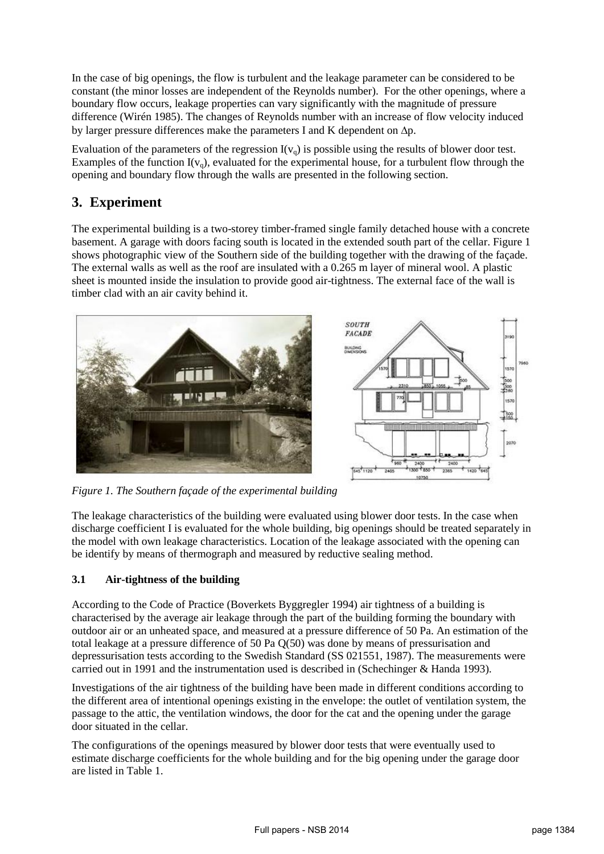In the case of big openings, the flow is turbulent and the leakage parameter can be considered to be constant (the minor losses are independent of the Reynolds number). For the other openings, where a boundary flow occurs, leakage properties can vary significantly with the magnitude of pressure difference (Wirén 1985). The changes of Reynolds number with an increase of flow velocity induced by larger pressure differences make the parameters I and K dependent on ∆p.

Evaluation of the parameters of the regression  $I(v_q)$  is possible using the results of blower door test. Examples of the function  $I(v_q)$ , evaluated for the experimental house, for a turbulent flow through the opening and boundary flow through the walls are presented in the following section.

# **3. Experiment**

The experimental building is a two-storey timber-framed single family detached house with a concrete basement. A garage with doors facing south is located in the extended south part of the cellar. Figure 1 shows photographic view of the Southern side of the building together with the drawing of the façade. The external walls as well as the roof are insulated with a 0.265 m layer of mineral wool. A plastic sheet is mounted inside the insulation to provide good air-tightness. The external face of the wall is timber clad with an air cavity behind it.



*Figure 1. The Southern façade of the experimental building*

The leakage characteristics of the building were evaluated using blower door tests. In the case when discharge coefficient I is evaluated for the whole building, big openings should be treated separately in the model with own leakage characteristics. Location of the leakage associated with the opening can be identify by means of thermograph and measured by reductive sealing method.

#### **3.1 Air-tightness of the building**

According to the Code of Practice (Boverkets Byggregler 1994) air tightness of a building is characterised by the average air leakage through the part of the building forming the boundary with outdoor air or an unheated space, and measured at a pressure difference of 50 Pa. An estimation of the total leakage at a pressure difference of 50 Pa Q(50) was done by means of pressurisation and depressurisation tests according to the Swedish Standard (SS 021551, 1987). The measurements were carried out in 1991 and the instrumentation used is described in (Schechinger & Handa 1993).

Investigations of the air tightness of the building have been made in different conditions according to the different area of intentional openings existing in the envelope: the outlet of ventilation system, the passage to the attic, the ventilation windows, the door for the cat and the opening under the garage door situated in the cellar.

The configurations of the openings measured by blower door tests that were eventually used to estimate discharge coefficients for the whole building and for the big opening under the garage door are listed in Table 1.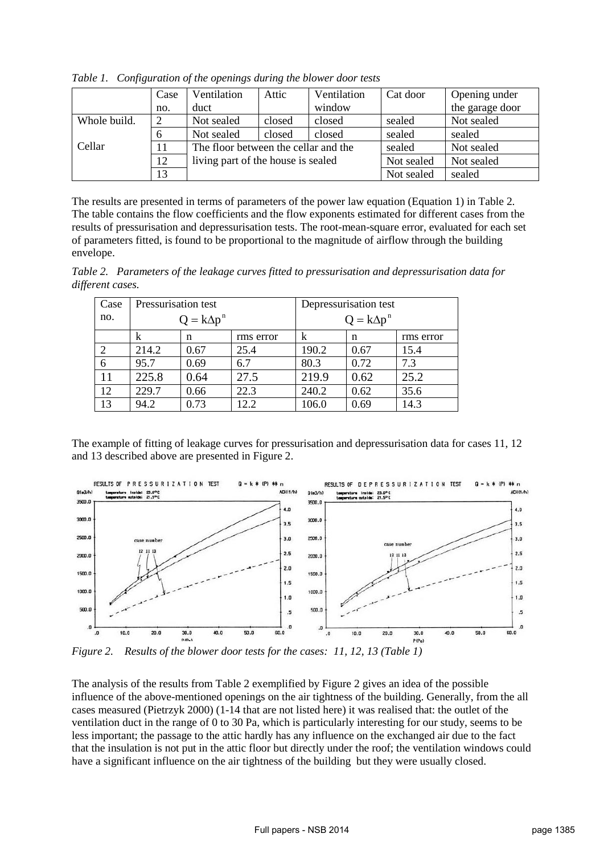|              | Case | Ventilation                          | Attic  | Ventilation | Cat door   | Opening under   |
|--------------|------|--------------------------------------|--------|-------------|------------|-----------------|
|              | no.  | duct                                 |        | window      |            | the garage door |
| Whole build. |      | Not sealed                           | closed | closed      | sealed     | Not sealed      |
|              |      | Not sealed                           | closed | closed      | sealed     | sealed          |
| Cellar       | 11   | The floor between the cellar and the |        | sealed      | Not sealed |                 |
|              | 12   | living part of the house is sealed   |        |             | Not sealed | Not sealed      |
|              | 13   |                                      |        |             | Not sealed | sealed          |

*Table 1. Configuration of the openings during the blower door tests* 

The results are presented in terms of parameters of the power law equation (Equation 1) in Table 2. The table contains the flow coefficients and the flow exponents estimated for different cases from the results of pressurisation and depressurisation tests. The root-mean-square error, evaluated for each set of parameters fitted, is found to be proportional to the magnitude of airflow through the building envelope.

*Table 2. Parameters of the leakage curves fitted to pressurisation and depressurisation data for different cases.*

| Case | Pressurisation test |      |           | Depressurisation test |      |           |
|------|---------------------|------|-----------|-----------------------|------|-----------|
| no.  | $Q = k\Delta p^n$   |      |           | $Q = k\Delta p^n$     |      |           |
|      | k                   | n    | rms error | k                     | n    | rms error |
|      | 214.2               | 0.67 | 25.4      | 190.2                 | 0.67 | 15.4      |
| 6    | 95.7                | 0.69 | 6.7       | 80.3                  | 0.72 | 7.3       |
| 11   | 225.8               | 0.64 | 27.5      | 219.9                 | 0.62 | 25.2      |
| 12   | 229.7               | 0.66 | 22.3      | 240.2                 | 0.62 | 35.6      |
| 13   | 94.2                | 0.73 | 12.2      | 106.0                 | 0.69 | 14.3      |

The example of fitting of leakage curves for pressurisation and depressurisation data for cases 11, 12 and 13 described above are presented in Figure 2.



*Figure 2. Results of the blower door tests for the cases: 11, 12, 13 (Table 1)*

The analysis of the results from Table 2 exemplified by Figure 2 gives an idea of the possible influence of the above-mentioned openings on the air tightness of the building. Generally, from the all cases measured (Pietrzyk 2000) (1-14 that are not listed here) it was realised that: the outlet of the ventilation duct in the range of 0 to 30 Pa, which is particularly interesting for our study, seems to be less important; the passage to the attic hardly has any influence on the exchanged air due to the fact that the insulation is not put in the attic floor but directly under the roof; the ventilation windows could have a significant influence on the air tightness of the building but they were usually closed.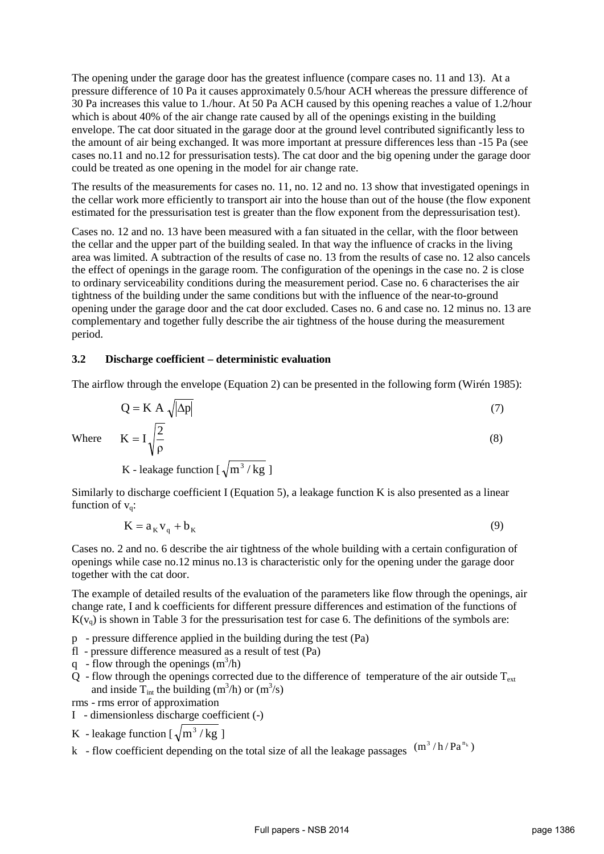The opening under the garage door has the greatest influence (compare cases no. 11 and 13). At a pressure difference of 10 Pa it causes approximately 0.5/hour ACH whereas the pressure difference of 30 Pa increases this value to 1./hour. At 50 Pa ACH caused by this opening reaches a value of 1.2/hour which is about 40% of the air change rate caused by all of the openings existing in the building envelope. The cat door situated in the garage door at the ground level contributed significantly less to the amount of air being exchanged. It was more important at pressure differences less than -15 Pa (see cases no.11 and no.12 for pressurisation tests). The cat door and the big opening under the garage door could be treated as one opening in the model for air change rate.

The results of the measurements for cases no. 11, no. 12 and no. 13 show that investigated openings in the cellar work more efficiently to transport air into the house than out of the house (the flow exponent estimated for the pressurisation test is greater than the flow exponent from the depressurisation test).

Cases no. 12 and no. 13 have been measured with a fan situated in the cellar, with the floor between the cellar and the upper part of the building sealed. In that way the influence of cracks in the living area was limited. A subtraction of the results of case no. 13 from the results of case no. 12 also cancels the effect of openings in the garage room. The configuration of the openings in the case no. 2 is close to ordinary serviceability conditions during the measurement period. Case no. 6 characterises the air tightness of the building under the same conditions but with the influence of the near-to-ground opening under the garage door and the cat door excluded. Cases no. 6 and case no. 12 minus no. 13 are complementary and together fully describe the air tightness of the house during the measurement period.

#### **3.2 Discharge coefficient – deterministic evaluation**

The airflow through the envelope (Equation 2) can be presented in the following form (Wirén 1985):

$$
Q = K A \sqrt{|\Delta p|} \tag{7}
$$

 $K = I_1 \frac{2}{3}$  (8)

Where

K - leakage function 
$$
\left[\sqrt{m^3/kg}\right]
$$

ρ

Similarly to discharge coefficient I (Equation 5), a leakage function K is also presented as a linear function of  $v_a$ :

$$
K = a_K v_q + b_K \tag{9}
$$

Cases no. 2 and no. 6 describe the air tightness of the whole building with a certain configuration of openings while case no.12 minus no.13 is characteristic only for the opening under the garage door together with the cat door.

The example of detailed results of the evaluation of the parameters like flow through the openings, air change rate, I and k coefficients for different pressure differences and estimation of the functions of  $K(v<sub>o</sub>)$  is shown in Table 3 for the pressurisation test for case 6. The definitions of the symbols are:

- p pressure difference applied in the building during the test (Pa)
- fl pressure difference measured as a result of test (Pa)
- q flow through the openings  $(m^3/h)$
- $Q$  flow through the openings corrected due to the difference of temperature of the air outside  $T_{ext}$ and inside  $T_{int}$  the building (m<sup>3</sup>/h) or (m<sup>3</sup>/s)
- rms rms error of approximation
- I dimensionless discharge coefficient (-)
- K leakage function  $\lceil \sqrt{m^3 / kg} \rceil$
- k flow coefficient depending on the total size of all the leakage passages  $(m^3/h/Pa^{n_k})$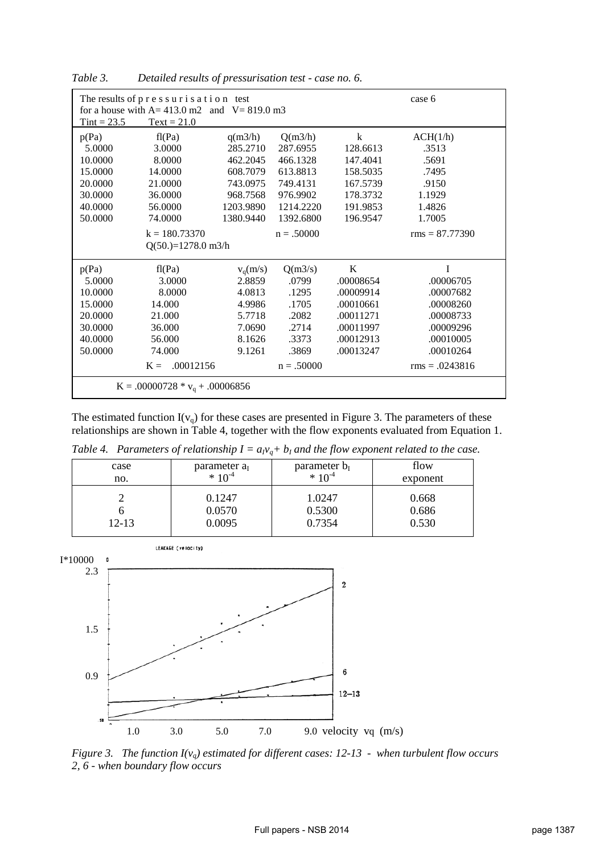| The results of pressurisation test<br>for a house with $A = 413.0$ m2 and $V = 819.0$ m3 |                      |            |              |           | case 6           |  |
|------------------------------------------------------------------------------------------|----------------------|------------|--------------|-----------|------------------|--|
| $Tint = 23.5$                                                                            | $Text = 21.0$        |            |              |           |                  |  |
| p(Pa)                                                                                    | fl(Pa)               | q(m3/h)    | Q(m3/h)      | k         | ACH(1/h)         |  |
| 5.0000                                                                                   | 3.0000               | 285.2710   | 287.6955     | 128.6613  | .3513            |  |
| 10.0000                                                                                  | 8.0000               | 462.2045   | 466.1328     | 147.4041  | .5691            |  |
| 15.0000                                                                                  | 14.0000              | 608.7079   | 613.8813     | 158.5035  | .7495            |  |
| 20.0000                                                                                  | 21.0000              | 743.0975   | 749.4131     | 167.5739  | .9150            |  |
| 30.0000                                                                                  | 36.0000              | 968.7568   | 976.9902     | 178.3732  | 1.1929           |  |
| 40.0000                                                                                  | 56.0000              | 1203.9890  | 1214.2220    | 191.9853  | 1.4826           |  |
| 50.0000                                                                                  | 74.0000              | 1380.9440  | 1392.6800    | 196.9547  | 1.7005           |  |
|                                                                                          | $k = 180.73370$      |            | $n = .50000$ |           | $rms = 87.77390$ |  |
|                                                                                          | $Q(50.)=1278.0$ m3/h |            |              |           |                  |  |
| p(Pa)                                                                                    | fl(Pa)               | $v_q(m/s)$ | Q(m3/s)      | K         | I                |  |
| 5.0000                                                                                   | 3.0000               | 2.8859     | .0799        | .00008654 | .00006705        |  |
| 10.0000                                                                                  | 8.0000               | 4.0813     | .1295        | .00009914 | .00007682        |  |
| 15.0000                                                                                  | 14.000               | 4.9986     | .1705        | .00010661 | .00008260        |  |
| 20.0000                                                                                  | 21.000               | 5.7718     | .2082        | .00011271 | .00008733        |  |
| 30.0000                                                                                  | 36.000               | 7.0690     | .2714        | .00011997 | .00009296        |  |
| 40.0000                                                                                  | 56.000               | 8.1626     | .3373        | .00012913 | .00010005        |  |
| 50.0000                                                                                  | 74.000               | 9.1261     | .3869        | .00013247 | .00010264        |  |
|                                                                                          | .00012156<br>$K =$   |            | $n = .50000$ |           | $rms = .0243816$ |  |
| $K = .00000728 * v_q + .00006856$                                                        |                      |            |              |           |                  |  |

*Table 3. Detailed results of pressurisation test - case no. 6.* 

The estimated function  $I(v_q)$  for these cases are presented in Figure 3. The parameters of these relationships are shown in Table 4, together with the flow exponents evaluated from Equation 1.

*Table 4. Parameters of relationship*  $I = a_V_q + b_I$  *and the flow exponent related to the case.* 

| case      | parameter a <sub>r</sub> | parameter $b_I$ | flow     |
|-----------|--------------------------|-----------------|----------|
| no.       | $* 10^{-4}$              | $* 10^{-4}$     | exponent |
| $12 - 13$ | 0.1247                   | 1.0247          | 0.668    |
|           | 0.0570                   | 0.5300          | 0.686    |
|           | 0.0095                   | 0.7354          | 0.530    |



*Figure 3. The function I(vq) estimated for different cases: 12-13 - when turbulent flow occurs 2, 6 - when boundary flow occurs*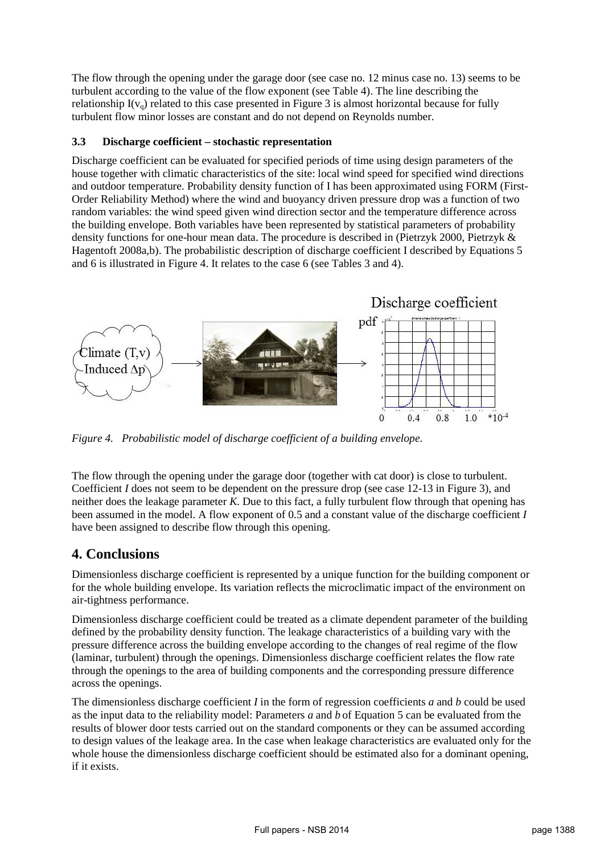The flow through the opening under the garage door (see case no. 12 minus case no. 13) seems to be turbulent according to the value of the flow exponent (see Table 4). The line describing the relationship  $I(v_q)$  related to this case presented in Figure 3 is almost horizontal because for fully turbulent flow minor losses are constant and do not depend on Reynolds number.

#### **3.3 Discharge coefficient – stochastic representation**

Discharge coefficient can be evaluated for specified periods of time using design parameters of the house together with climatic characteristics of the site: local wind speed for specified wind directions and outdoor temperature. Probability density function of I has been approximated using FORM (First-Order Reliability Method) where the wind and buoyancy driven pressure drop was a function of two random variables: the wind speed given wind direction sector and the temperature difference across the building envelope. Both variables have been represented by statistical parameters of probability density functions for one-hour mean data. The procedure is described in (Pietrzyk 2000, Pietrzyk & Hagentoft 2008a,b). The probabilistic description of discharge coefficient I described by Equations 5 and 6 is illustrated in Figure 4. It relates to the case 6 (see Tables 3 and 4).



*Figure 4. Probabilistic model of discharge coefficient of a building envelope.* 

The flow through the opening under the garage door (together with cat door) is close to turbulent. Coefficient *I* does not seem to be dependent on the pressure drop (see case 12-13 in Figure 3), and neither does the leakage parameter *K*. Due to this fact, a fully turbulent flow through that opening has been assumed in the model. A flow exponent of 0.5 and a constant value of the discharge coefficient *I* have been assigned to describe flow through this opening.

### **4. Conclusions**

Dimensionless discharge coefficient is represented by a unique function for the building component or for the whole building envelope. Its variation reflects the microclimatic impact of the environment on air-tightness performance.

Dimensionless discharge coefficient could be treated as a climate dependent parameter of the building defined by the probability density function. The leakage characteristics of a building vary with the pressure difference across the building envelope according to the changes of real regime of the flow (laminar, turbulent) through the openings. Dimensionless discharge coefficient relates the flow rate through the openings to the area of building components and the corresponding pressure difference across the openings.

The dimensionless discharge coefficient *I* in the form of regression coefficients *a* and *b* could be used as the input data to the reliability model: Parameters *a* and *b* of Equation 5 can be evaluated from the results of blower door tests carried out on the standard components or they can be assumed according to design values of the leakage area. In the case when leakage characteristics are evaluated only for the whole house the dimensionless discharge coefficient should be estimated also for a dominant opening, if it exists.